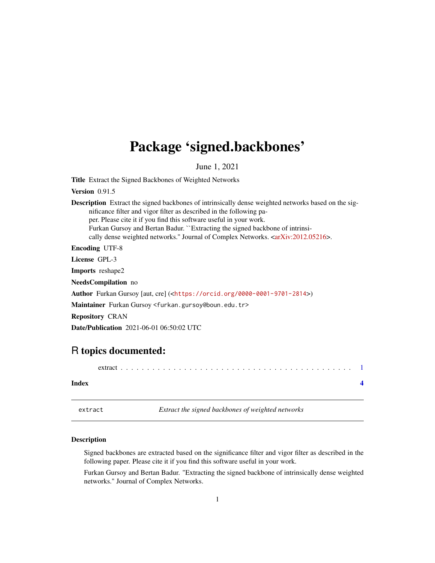## <span id="page-0-0"></span>Package 'signed.backbones'

June 1, 2021

Title Extract the Signed Backbones of Weighted Networks

Version 0.91.5

Description Extract the signed backbones of intrinsically dense weighted networks based on the significance filter and vigor filter as described in the following paper. Please cite it if you find this software useful in your work. Furkan Gursoy and Bertan Badur. ``Extracting the signed backbone of intrinsi-cally dense weighted networks." Journal of Complex Networks. [<arXiv:2012.05216>](https://arxiv.org/abs/2012.05216). Encoding UTF-8

License GPL-3

Imports reshape2

NeedsCompilation no

Author Furkan Gursoy [aut, cre] (<<https://orcid.org/0000-0001-9701-2814>>)

Maintainer Furkan Gursoy <furkan.gursoy@boun.edu.tr>

Repository CRAN

Date/Publication 2021-06-01 06:50:02 UTC

### R topics documented:

extract . . . . . . . . . . . . . . . . . . . . . . . . . . . . . . . . . . . . . . . . . . . . [1](#page-0-0)

#### **Index** [4](#page-3-0)

extract *Extract the signed backbones of weighted networks*

#### Description

Signed backbones are extracted based on the significance filter and vigor filter as described in the following paper. Please cite it if you find this software useful in your work.

Furkan Gursoy and Bertan Badur. "Extracting the signed backbone of intrinsically dense weighted networks." Journal of Complex Networks.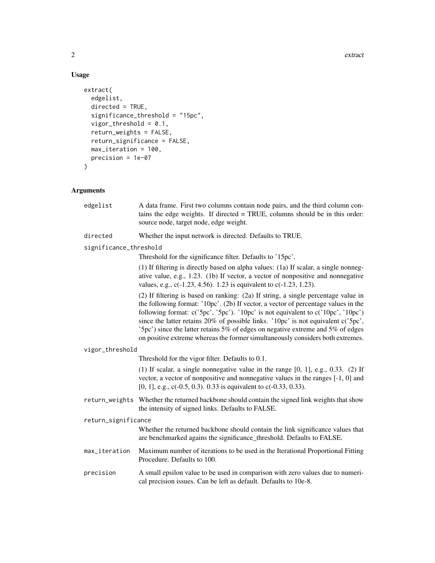#### Usage

```
extract(
  edgelist,
  directed = TRUE,
  significance_threshold = "15pc",
  vigor_threshold = 0.1,
  return_weights = FALSE,
  return_significance = FALSE,
  max_iteration = 100,
  precision = 1e-07
\mathcal{L}
```
#### Arguments

| edgelist               | A data frame. First two columns contain node pairs, and the third column con-<br>tains the edge weights. If directed = TRUE, columns should be in this order:<br>source node, target node, edge weight.                                                                                                                                                                                                                                                                                                                     |
|------------------------|-----------------------------------------------------------------------------------------------------------------------------------------------------------------------------------------------------------------------------------------------------------------------------------------------------------------------------------------------------------------------------------------------------------------------------------------------------------------------------------------------------------------------------|
| directed               | Whether the input network is directed. Defaults to TRUE.                                                                                                                                                                                                                                                                                                                                                                                                                                                                    |
| significance_threshold |                                                                                                                                                                                                                                                                                                                                                                                                                                                                                                                             |
|                        | Threshold for the significance filter. Defaults to '15pc'.                                                                                                                                                                                                                                                                                                                                                                                                                                                                  |
|                        | (1) If filtering is directly based on alpha values: (1a) If scalar, a single nonneg-<br>ative value, e.g., 1.23. (1b) If vector, a vector of nonpositive and nonnegative<br>values, e.g., c(-1.23, 4.56). 1.23 is equivalent to c(-1.23, 1.23).                                                                                                                                                                                                                                                                             |
|                        | (2) If filtering is based on ranking: (2a) If string, a single percentage value in<br>the following format: '10pc'. (2b) If vector, a vector of percentage values in the<br>following format: $c('5pc', '5pc')$ . '10pc' is not equivalent to $c('10pc', '10pc')$<br>since the latter retains 20% of possible links. '10pc' is not equivalent c('5pc',<br>'5pc') since the latter retains 5% of edges on negative extreme and 5% of edges<br>on positive extreme whereas the former simultaneously considers both extremes. |
| vigor_threshold        |                                                                                                                                                                                                                                                                                                                                                                                                                                                                                                                             |
|                        | Threshold for the vigor filter. Defaults to 0.1.                                                                                                                                                                                                                                                                                                                                                                                                                                                                            |
|                        | (1) If scalar, a single nonnegative value in the range $[0, 1]$ , e.g., 0.33. (2) If<br>vector, a vector of nonpositive and nonnegative values in the ranges [-1, 0] and<br>[0, 1], e.g., c(-0.5, 0.3). 0.33 is equivalent to c(-0.33, 0.33).                                                                                                                                                                                                                                                                               |
|                        | return_weights Whether the returned backbone should contain the signed link weights that show<br>the intensity of signed links. Defaults to FALSE.                                                                                                                                                                                                                                                                                                                                                                          |
| return_significance    |                                                                                                                                                                                                                                                                                                                                                                                                                                                                                                                             |
|                        | Whether the returned backbone should contain the link significance values that<br>are benchmarked agains the significance_threshold. Defaults to FALSE.                                                                                                                                                                                                                                                                                                                                                                     |
| max_iteration          | Maximum number of iterations to be used in the Iterational Proportional Fitting<br>Procedure. Defaults to 100.                                                                                                                                                                                                                                                                                                                                                                                                              |
| precision              | A small epsilon value to be used in comparison with zero values due to numeri-<br>cal precision issues. Can be left as default. Defaults to 10e-8.                                                                                                                                                                                                                                                                                                                                                                          |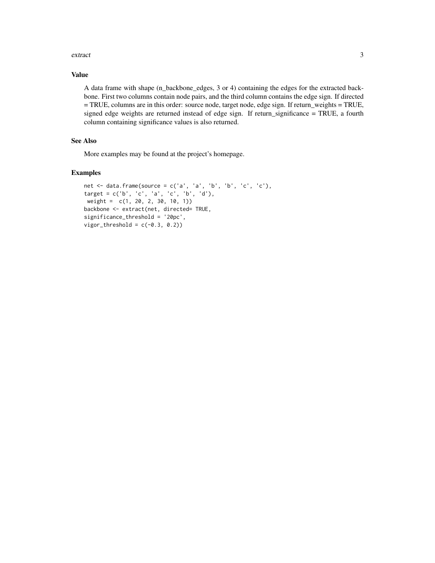#### extract 3

#### Value

A data frame with shape (n\_backbone\_edges, 3 or 4) containing the edges for the extracted backbone. First two columns contain node pairs, and the third column contains the edge sign. If directed = TRUE, columns are in this order: source node, target node, edge sign. If return\_weights = TRUE, signed edge weights are returned instead of edge sign. If return\_significance = TRUE, a fourth column containing significance values is also returned.

#### See Also

More examples may be found at the project's homepage.

#### Examples

```
net \le data.frame(source = c('a', 'a', 'b', 'b', 'c', 'c'),
target = c('b', 'c', 'a', 'c', 'b', 'd'),
weight = c(1, 20, 2, 30, 10, 1))
backbone <- extract(net, directed= TRUE,
significance_threshold = '20pc',
vigor_{threshold} = c(-0.3, 0.2)
```